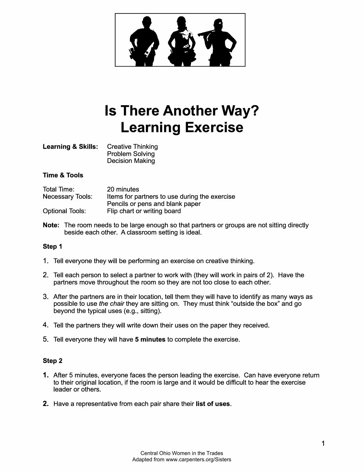

# **Is There Another Way? Learning Exercise**

| <b>Learning &amp; Skills:</b> | <b>Creative Thinking</b> |
|-------------------------------|--------------------------|
|                               | <b>Problem Solving</b>   |
|                               | <b>Decision Making</b>   |

#### **Time & Tools**

| Total Time:             | 20 minutes                                    |
|-------------------------|-----------------------------------------------|
| <b>Necessary Tools:</b> | Items for partners to use during the exercise |
|                         | Pencils or pens and blank paper               |
| <b>Optional Tools:</b>  | Flip chart or writing board                   |

**Note:** The room needs to be large enough so that partners or groups are not sitting directly beside each other. A classroom setting is ideal.

#### **Step 1**

- 1. Tell everyone they will be performing an exercise on creative thinking.
- 2. Tell each person to select a partner to work with (they will work in pairs of 2). Have the partners move throughout the room so they are not too close to each other.
- 3. After the partners are in their location, tell them they will have to identify as many ways as possible to use *the chair* they are sitting on. They must think "outside the box" and go beyond the typical uses (e.g., sitting).
- 4. Tell the partners they will write down their uses on the paper they received.
- 5. Tell everyone they will have **5 minutes** to complete the exercise.

#### **Step 2**

- 1. After 5 minutes, everyone faces the person leading the exercise. Can have everyone return to their original location, if the room is large and it would be difficult to hear the exercise leader or others.
- **2.** Have a representative from each pair share their **list of uses.**